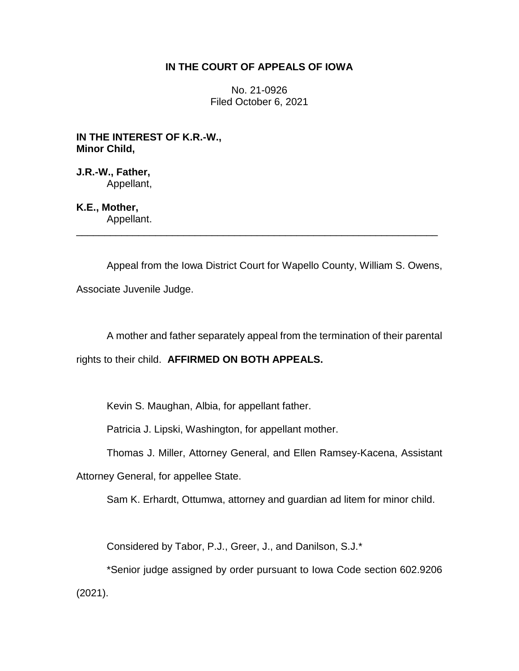# **IN THE COURT OF APPEALS OF IOWA**

No. 21-0926 Filed October 6, 2021

**IN THE INTEREST OF K.R.-W., Minor Child,**

**J.R.-W., Father,** Appellant,

**K.E., Mother,** Appellant.

Appeal from the Iowa District Court for Wapello County, William S. Owens,

\_\_\_\_\_\_\_\_\_\_\_\_\_\_\_\_\_\_\_\_\_\_\_\_\_\_\_\_\_\_\_\_\_\_\_\_\_\_\_\_\_\_\_\_\_\_\_\_\_\_\_\_\_\_\_\_\_\_\_\_\_\_\_\_

Associate Juvenile Judge.

A mother and father separately appeal from the termination of their parental

rights to their child. **AFFIRMED ON BOTH APPEALS.**

Kevin S. Maughan, Albia, for appellant father.

Patricia J. Lipski, Washington, for appellant mother.

Thomas J. Miller, Attorney General, and Ellen Ramsey-Kacena, Assistant

Attorney General, for appellee State.

Sam K. Erhardt, Ottumwa, attorney and guardian ad litem for minor child.

Considered by Tabor, P.J., Greer, J., and Danilson, S.J.\*

\*Senior judge assigned by order pursuant to Iowa Code section 602.9206 (2021).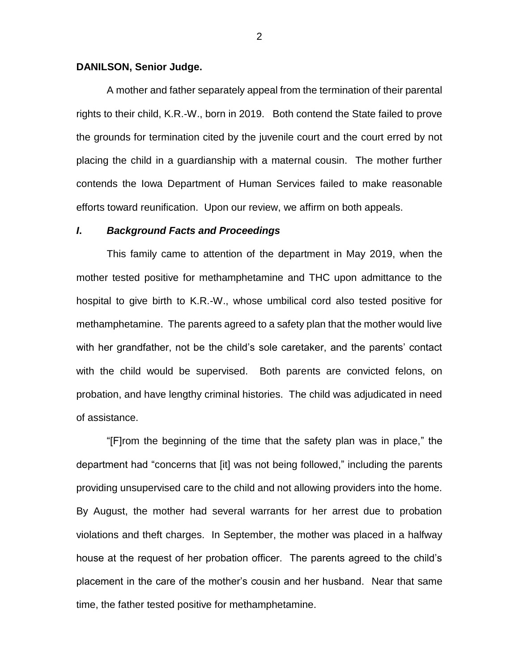#### **DANILSON, Senior Judge.**

A mother and father separately appeal from the termination of their parental rights to their child, K.R.-W., born in 2019. Both contend the State failed to prove the grounds for termination cited by the juvenile court and the court erred by not placing the child in a guardianship with a maternal cousin. The mother further contends the Iowa Department of Human Services failed to make reasonable efforts toward reunification. Upon our review, we affirm on both appeals.

#### *I***.** *Background Facts and Proceedings*

This family came to attention of the department in May 2019, when the mother tested positive for methamphetamine and THC upon admittance to the hospital to give birth to K.R.-W., whose umbilical cord also tested positive for methamphetamine. The parents agreed to a safety plan that the mother would live with her grandfather, not be the child's sole caretaker, and the parents' contact with the child would be supervised. Both parents are convicted felons, on probation, and have lengthy criminal histories. The child was adjudicated in need of assistance.

"[F]rom the beginning of the time that the safety plan was in place," the department had "concerns that [it] was not being followed," including the parents providing unsupervised care to the child and not allowing providers into the home. By August, the mother had several warrants for her arrest due to probation violations and theft charges. In September, the mother was placed in a halfway house at the request of her probation officer. The parents agreed to the child's placement in the care of the mother's cousin and her husband. Near that same time, the father tested positive for methamphetamine.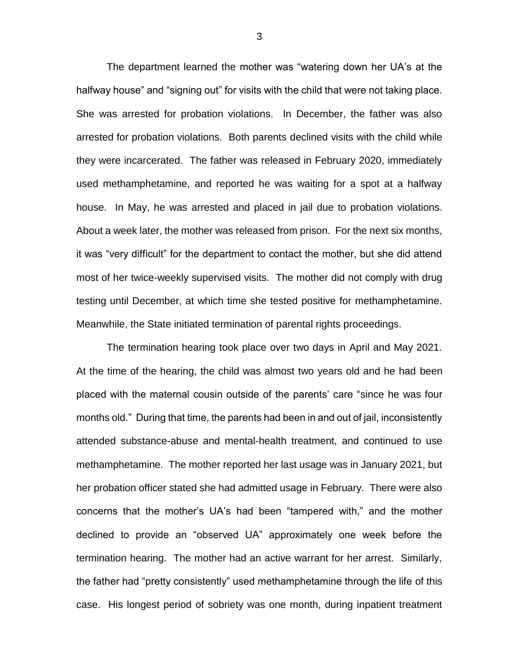The department learned the mother was "watering down her UA's at the halfway house" and "signing out" for visits with the child that were not taking place. She was arrested for probation violations. In December, the father was also arrested for probation violations. Both parents declined visits with the child while they were incarcerated. The father was released in February 2020, immediately used methamphetamine, and reported he was waiting for a spot at a halfway house. In May, he was arrested and placed in jail due to probation violations. About a week later, the mother was released from prison. For the next six months, it was "very difficult" for the department to contact the mother, but she did attend most of her twice-weekly supervised visits. The mother did not comply with drug testing until December, at which time she tested positive for methamphetamine. Meanwhile, the State initiated termination of parental rights proceedings.

The termination hearing took place over two days in April and May 2021. At the time of the hearing, the child was almost two years old and he had been placed with the maternal cousin outside of the parents' care "since he was four months old." During that time, the parents had been in and out of jail, inconsistently attended substance-abuse and mental-health treatment, and continued to use methamphetamine. The mother reported her last usage was in January 2021, but her probation officer stated she had admitted usage in February. There were also concerns that the mother's UA's had been "tampered with," and the mother declined to provide an "observed UA" approximately one week before the termination hearing. The mother had an active warrant for her arrest. Similarly, the father had "pretty consistently" used methamphetamine through the life of this case. His longest period of sobriety was one month, during inpatient treatment

3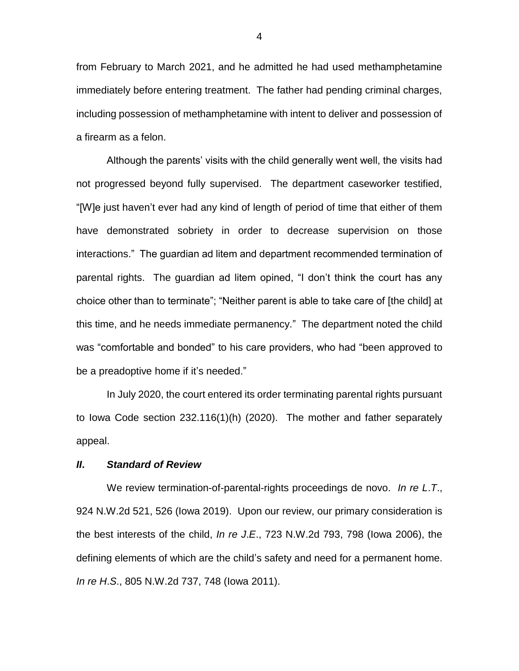from February to March 2021, and he admitted he had used methamphetamine immediately before entering treatment. The father had pending criminal charges, including possession of methamphetamine with intent to deliver and possession of a firearm as a felon.

Although the parents' visits with the child generally went well, the visits had not progressed beyond fully supervised. The department caseworker testified, "[W]e just haven't ever had any kind of length of period of time that either of them have demonstrated sobriety in order to decrease supervision on those interactions." The guardian ad litem and department recommended termination of parental rights. The guardian ad litem opined, "I don't think the court has any choice other than to terminate"; "Neither parent is able to take care of [the child] at this time, and he needs immediate permanency." The department noted the child was "comfortable and bonded" to his care providers, who had "been approved to be a preadoptive home if it's needed."

In July 2020, the court entered its order terminating parental rights pursuant to Iowa Code section 232.116(1)(h) (2020). The mother and father separately appeal.

### *II***.** *Standard of Review*

We review termination-of-parental-rights proceedings de novo. *In re L*.*T*., 924 N.W.2d 521, 526 (Iowa 2019). Upon our review, our primary consideration is the best interests of the child, *In re J*.*E*., 723 N.W.2d 793, 798 (Iowa 2006), the defining elements of which are the child's safety and need for a permanent home. *In re H*.*S*., 805 N.W.2d 737, 748 (Iowa 2011).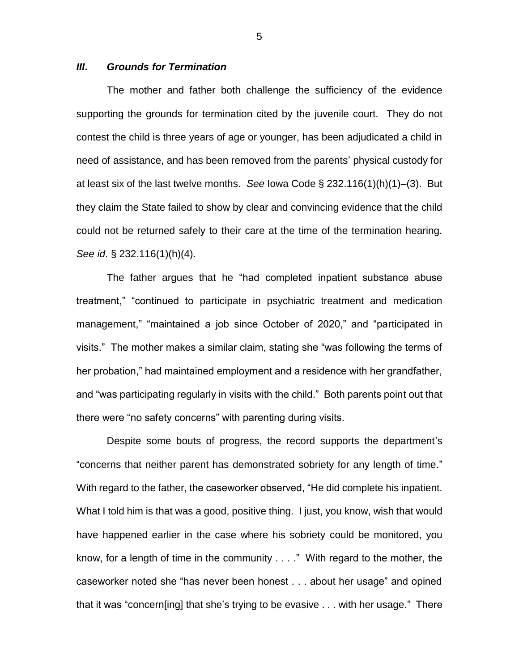### *III***.** *Grounds for Termination*

The mother and father both challenge the sufficiency of the evidence supporting the grounds for termination cited by the juvenile court. They do not contest the child is three years of age or younger, has been adjudicated a child in need of assistance, and has been removed from the parents' physical custody for at least six of the last twelve months. *See* Iowa Code § 232.116(1)(h)(1)–(3). But they claim the State failed to show by clear and convincing evidence that the child could not be returned safely to their care at the time of the termination hearing. *See id*. § 232.116(1)(h)(4).

The father argues that he "had completed inpatient substance abuse treatment," "continued to participate in psychiatric treatment and medication management," "maintained a job since October of 2020," and "participated in visits." The mother makes a similar claim, stating she "was following the terms of her probation," had maintained employment and a residence with her grandfather, and "was participating regularly in visits with the child." Both parents point out that there were "no safety concerns" with parenting during visits.

Despite some bouts of progress, the record supports the department's "concerns that neither parent has demonstrated sobriety for any length of time." With regard to the father, the caseworker observed, "He did complete his inpatient. What I told him is that was a good, positive thing. I just, you know, wish that would have happened earlier in the case where his sobriety could be monitored, you know, for a length of time in the community . . . ." With regard to the mother, the caseworker noted she "has never been honest . . . about her usage" and opined that it was "concern[ing] that she's trying to be evasive . . . with her usage." There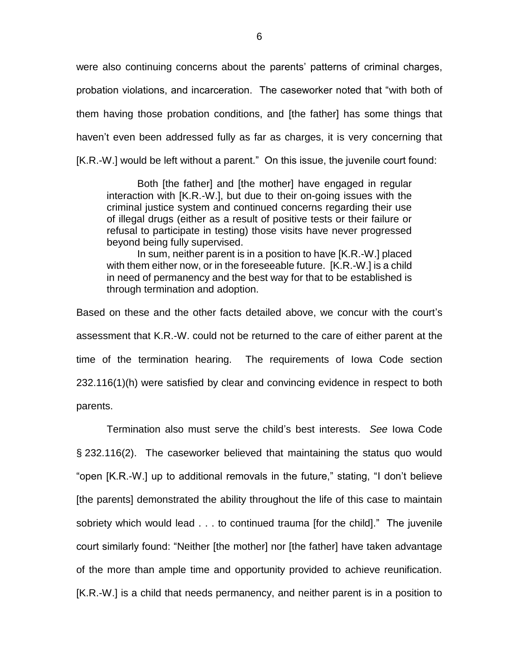were also continuing concerns about the parents' patterns of criminal charges, probation violations, and incarceration. The caseworker noted that "with both of them having those probation conditions, and [the father] has some things that haven't even been addressed fully as far as charges, it is very concerning that [K.R.-W.] would be left without a parent." On this issue, the juvenile court found:

Both [the father] and [the mother] have engaged in regular interaction with [K.R.-W.], but due to their on-going issues with the criminal justice system and continued concerns regarding their use of illegal drugs (either as a result of positive tests or their failure or refusal to participate in testing) those visits have never progressed beyond being fully supervised.

In sum, neither parent is in a position to have [K.R.-W.] placed with them either now, or in the foreseeable future. [K.R.-W.] is a child in need of permanency and the best way for that to be established is through termination and adoption.

Based on these and the other facts detailed above, we concur with the court's assessment that K.R.-W. could not be returned to the care of either parent at the time of the termination hearing. The requirements of Iowa Code section 232.116(1)(h) were satisfied by clear and convincing evidence in respect to both parents.

Termination also must serve the child's best interests. *See* Iowa Code § 232.116(2). The caseworker believed that maintaining the status quo would "open [K.R.-W.] up to additional removals in the future," stating, "I don't believe [the parents] demonstrated the ability throughout the life of this case to maintain sobriety which would lead . . . to continued trauma [for the child]." The juvenile court similarly found: "Neither [the mother] nor [the father] have taken advantage of the more than ample time and opportunity provided to achieve reunification. [K.R.-W.] is a child that needs permanency, and neither parent is in a position to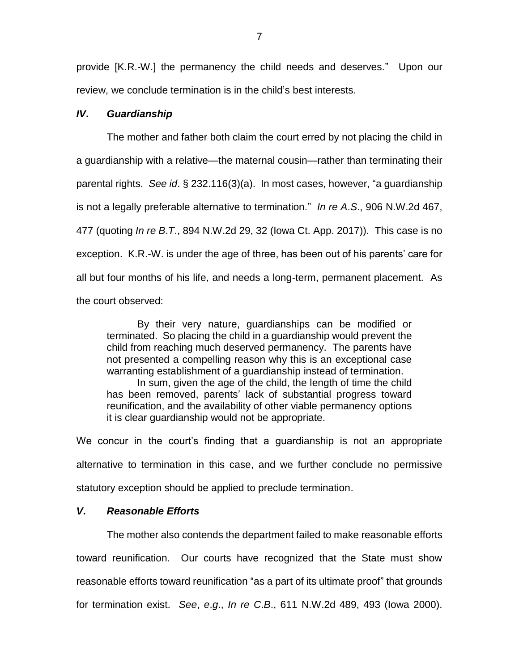provide [K.R.-W.] the permanency the child needs and deserves." Upon our review, we conclude termination is in the child's best interests.

#### *IV***.** *Guardianship*

The mother and father both claim the court erred by not placing the child in a guardianship with a relative—the maternal cousin—rather than terminating their parental rights. *See id*. § 232.116(3)(a). In most cases, however, "a guardianship is not a legally preferable alternative to termination." *In re A*.*S*., 906 N.W.2d 467, 477 (quoting *In re B*.*T*., 894 N.W.2d 29, 32 (Iowa Ct. App. 2017)). This case is no exception. K.R.-W. is under the age of three, has been out of his parents' care for all but four months of his life, and needs a long-term, permanent placement. As the court observed:

By their very nature, guardianships can be modified or terminated. So placing the child in a guardianship would prevent the child from reaching much deserved permanency. The parents have not presented a compelling reason why this is an exceptional case warranting establishment of a guardianship instead of termination.

In sum, given the age of the child, the length of time the child has been removed, parents' lack of substantial progress toward reunification, and the availability of other viable permanency options it is clear guardianship would not be appropriate.

We concur in the court's finding that a guardianship is not an appropriate alternative to termination in this case, and we further conclude no permissive statutory exception should be applied to preclude termination.

## *V***.** *Reasonable Efforts*

The mother also contends the department failed to make reasonable efforts toward reunification. Our courts have recognized that the State must show reasonable efforts toward reunification "as a part of its ultimate proof" that grounds for termination exist. *See*, *e*.*g*., *In re C*.*B*., 611 N.W.2d 489, 493 (Iowa 2000).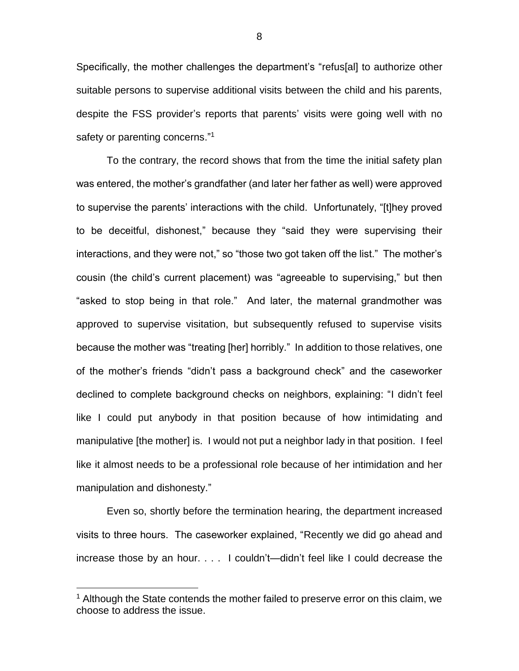Specifically, the mother challenges the department's "refus[al] to authorize other suitable persons to supervise additional visits between the child and his parents, despite the FSS provider's reports that parents' visits were going well with no safety or parenting concerns."<sup>1</sup>

To the contrary, the record shows that from the time the initial safety plan was entered, the mother's grandfather (and later her father as well) were approved to supervise the parents' interactions with the child. Unfortunately, "[t]hey proved to be deceitful, dishonest," because they "said they were supervising their interactions, and they were not," so "those two got taken off the list." The mother's cousin (the child's current placement) was "agreeable to supervising," but then "asked to stop being in that role." And later, the maternal grandmother was approved to supervise visitation, but subsequently refused to supervise visits because the mother was "treating [her] horribly." In addition to those relatives, one of the mother's friends "didn't pass a background check" and the caseworker declined to complete background checks on neighbors, explaining: "I didn't feel like I could put anybody in that position because of how intimidating and manipulative [the mother] is. I would not put a neighbor lady in that position. I feel like it almost needs to be a professional role because of her intimidation and her manipulation and dishonesty."

Even so, shortly before the termination hearing, the department increased visits to three hours. The caseworker explained, "Recently we did go ahead and increase those by an hour. . . . I couldn't—didn't feel like I could decrease the

 $\overline{a}$ 

8

 $1$  Although the State contends the mother failed to preserve error on this claim, we choose to address the issue.